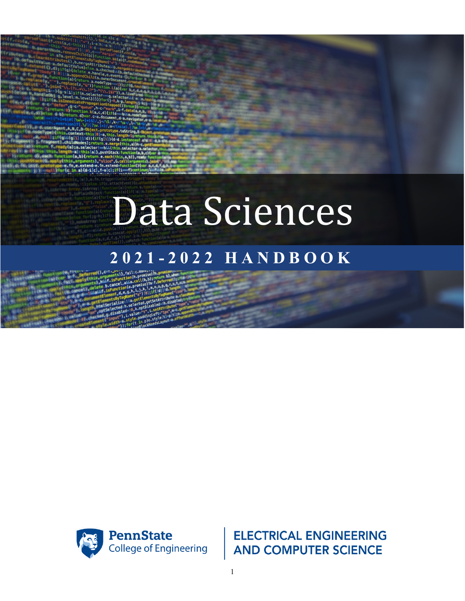# Data Sciences

# **2 0 2 1 - 202 2 HANDBOOK**



**ELECTRICAL ENGINEERING AND COMPUTER SCIENCE**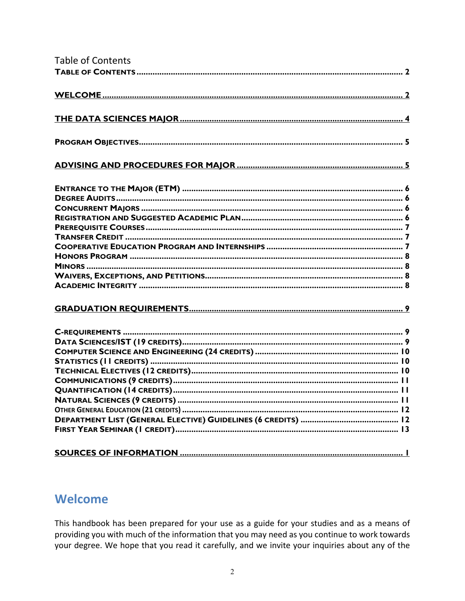<span id="page-1-0"></span>

| <b>Table of Contents</b> |
|--------------------------|
|                          |
|                          |
|                          |
|                          |
|                          |
|                          |
|                          |
|                          |
|                          |
|                          |
|                          |
|                          |
|                          |
|                          |
|                          |
|                          |
|                          |
|                          |
|                          |
|                          |
|                          |
|                          |
|                          |
|                          |
|                          |
|                          |
|                          |
|                          |
|                          |

# <span id="page-1-1"></span>Welcome

This handbook has been prepared for your use as a guide for your studies and as a means of providing you with much of the information that you may need as you continue to work towards your degree. We hope that you read it carefully, and we invite your inquiries about any of the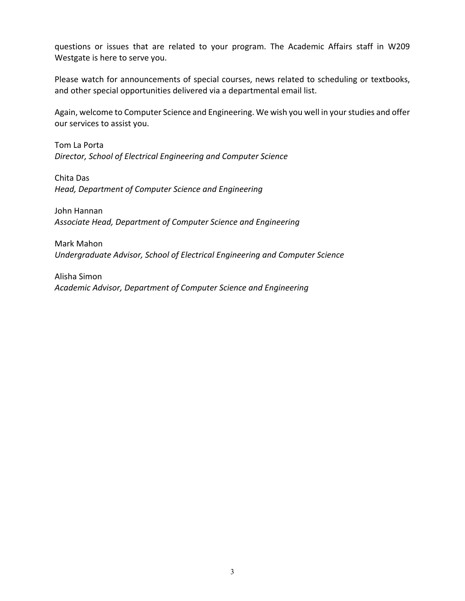questions or issues that are related to your program. The Academic Affairs staff in W209 Westgate is here to serve you.

Please watch for announcements of special courses, news related to scheduling or textbooks, and other special opportunities delivered via a departmental email list.

Again, welcome to Computer Science and Engineering. We wish you well in your studies and offer our services to assist you.

Tom La Porta *Director, School of Electrical Engineering and Computer Science* 

Chita Das *Head, Department of Computer Science and Engineering*

John Hannan *Associate Head, Department of Computer Science and Engineering*

Mark Mahon *Undergraduate Advisor, School of Electrical Engineering and Computer Science* 

Alisha Simon *Academic Advisor, Department of Computer Science and Engineering*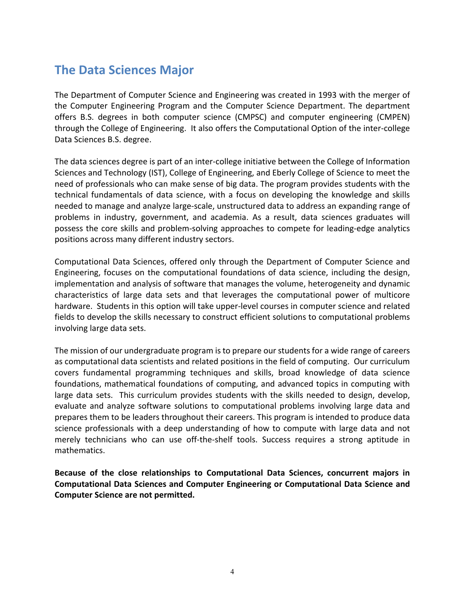# <span id="page-3-0"></span>**The Data Sciences Major**

The Department of Computer Science and Engineering was created in 1993 with the merger of the Computer Engineering Program and the Computer Science Department. The department offers B.S. degrees in both computer science (CMPSC) and computer engineering (CMPEN) through the College of Engineering. It also offers the Computational Option of the inter-college Data Sciences B.S. degree.

The data sciences degree is part of an inter-college initiative between the College of Information Sciences and Technology (IST), College of Engineering, and Eberly College of Science to meet the need of professionals who can make sense of big data. The program provides students with the technical fundamentals of data science, with a focus on developing the knowledge and skills needed to manage and analyze large-scale, unstructured data to address an expanding range of problems in industry, government, and academia. As a result, data sciences graduates will possess the core skills and problem-solving approaches to compete for leading-edge analytics positions across many different industry sectors.

Computational Data Sciences, offered only through the Department of Computer Science and Engineering, focuses on the computational foundations of data science, including the design, implementation and analysis of software that manages the volume, heterogeneity and dynamic characteristics of large data sets and that leverages the computational power of multicore hardware. Students in this option will take upper-level courses in computer science and related fields to develop the skills necessary to construct efficient solutions to computational problems involving large data sets.

The mission of our undergraduate program is to prepare our students for a wide range of careers as computational data scientists and related positions in the field of computing. Our curriculum covers fundamental programming techniques and skills, broad knowledge of data science foundations, mathematical foundations of computing, and advanced topics in computing with large data sets. This curriculum provides students with the skills needed to design, develop, evaluate and analyze software solutions to computational problems involving large data and prepares them to be leaders throughout their careers. This program is intended to produce data science professionals with a deep understanding of how to compute with large data and not merely technicians who can use off-the-shelf tools. Success requires a strong aptitude in mathematics.

**Because of the close relationships to Computational Data Sciences, concurrent majors in Computational Data Sciences and Computer Engineering or Computational Data Science and Computer Science are not permitted.**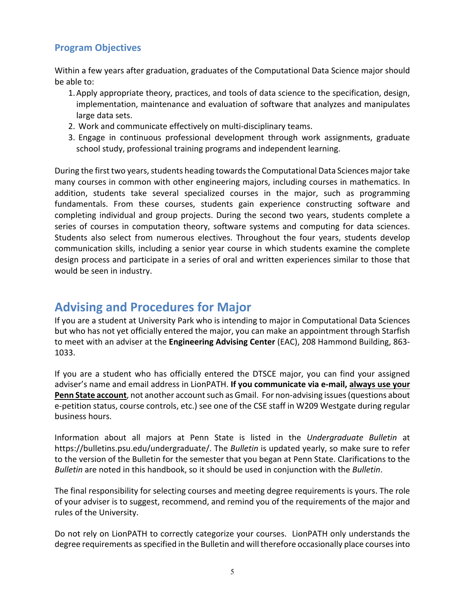#### <span id="page-4-0"></span>**Program Objectives**

Within a few years after graduation, graduates of the Computational Data Science major should be able to:

- 1.Apply appropriate theory, practices, and tools of data science to the specification, design, implementation, maintenance and evaluation of software that analyzes and manipulates large data sets.
- 2. Work and communicate effectively on multi-disciplinary teams.
- 3. Engage in continuous professional development through work assignments, graduate school study, professional training programs and independent learning.

During the first two years, students heading towards the Computational Data Sciences major take many courses in common with other engineering majors, including courses in mathematics. In addition, students take several specialized courses in the major, such as programming fundamentals. From these courses, students gain experience constructing software and completing individual and group projects. During the second two years, students complete a series of courses in computation theory, software systems and computing for data sciences. Students also select from numerous electives. Throughout the four years, students develop communication skills, including a senior year course in which students examine the complete design process and participate in a series of oral and written experiences similar to those that would be seen in industry.

# <span id="page-4-1"></span>**Advising and Procedures for Major**

If you are a student at University Park who is intending to major in Computational Data Sciences but who has not yet officially entered the major, you can make an appointment through Starfish to meet with an adviser at the **Engineering Advising Center** (EAC), 208 Hammond Building, 863- 1033.

If you are a student who has officially entered the DTSCE major, you can find your assigned adviser's name and email address in LionPATH. **If you communicate via e-mail, always use your Penn State account**, not another account such as Gmail. For non-advising issues (questions about e-petition status, course controls, etc.) see one of the CSE staff in W209 Westgate during regular business hours.

Information about all majors at Penn State is listed in the *Undergraduate Bulletin* at https://bulletins.psu.edu/undergraduate/. The *Bulletin* is updated yearly, so make sure to refer to the version of the Bulletin for the semester that you began at Penn State. Clarifications to the *Bulletin* are noted in this handbook, so it should be used in conjunction with the *Bulletin*.

The final responsibility for selecting courses and meeting degree requirements is yours. The role of your adviser is to suggest, recommend, and remind you of the requirements of the major and rules of the University.

Do not rely on LionPATH to correctly categorize your courses. LionPATH only understands the degree requirements as specified in the Bulletin and will therefore occasionally place courses into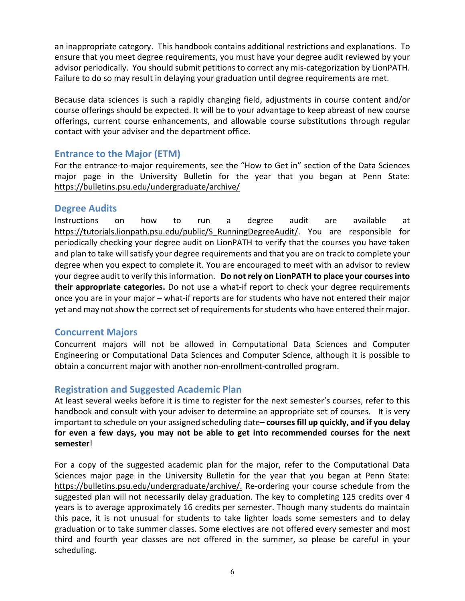an inappropriate category. This handbook contains additional restrictions and explanations. To ensure that you meet degree requirements, you must have your degree audit reviewed by your advisor periodically. You should submit petitions to correct any mis-categorization by LionPATH. Failure to do so may result in delaying your graduation until degree requirements are met.

Because data sciences is such a rapidly changing field, adjustments in course content and/or course offerings should be expected. It will be to your advantage to keep abreast of new course offerings, current course enhancements, and allowable course substitutions through regular contact with your adviser and the department office.

#### <span id="page-5-0"></span>**Entrance to the Major (ETM)**

For the entrance-to-major requirements, see the "How to Get in" section of the Data Sciences major page in the University Bulletin for the year that you began at Penn State: <https://bulletins.psu.edu/undergraduate/archive/>

#### <span id="page-5-1"></span>**Degree Audits**

Instructions on how to run a degree audit are available at [https://tutorials.lionpath.psu.edu/public/S\\_RunningDegreeAudit/.](https://tutorials.lionpath.psu.edu/public/S_RunningDegreeAudit/) You are responsible for periodically checking your degree audit on LionPATH to verify that the courses you have taken and plan to take will satisfy your degree requirements and that you are on track to complete your degree when you expect to complete it. You are encouraged to meet with an advisor to review your degree audit to verify this information. **Do not rely on LionPATH to place your coursesinto their appropriate categories.** Do not use a what-if report to check your degree requirements once you are in your major – what-if reports are for students who have not entered their major yet and may not show the correct set of requirements for students who have entered their major.

#### <span id="page-5-2"></span>**Concurrent Majors**

Concurrent majors will not be allowed in Computational Data Sciences and Computer Engineering or Computational Data Sciences and Computer Science, although it is possible to obtain a concurrent major with another non-enrollment-controlled program.

#### <span id="page-5-3"></span>**Registration and Suggested Academic Plan**

At least several weeks before it is time to register for the next semester's courses, refer to this handbook and consult with your adviser to determine an appropriate set of courses. It is very important to schedule on your assigned scheduling date– **coursesfill up quickly, and if you delay for even a few days, you may not be able to get into recommended courses for the next semester**!

For a copy of the suggested academic plan for the major, refer to the Computational Data Sciences major page in the University Bulletin for the year that you began at Penn State: [https://bulletins.psu.edu/undergraduate/archive/.](https://bulletins.psu.edu/undergraduate/archive/) Re-ordering your course schedule from the suggested plan will not necessarily delay graduation. The key to completing 125 credits over 4 years is to average approximately 16 credits per semester. Though many students do maintain this pace, it is not unusual for students to take lighter loads some semesters and to delay graduation or to take summer classes. Some electives are not offered every semester and most third and fourth year classes are not offered in the summer, so please be careful in your scheduling.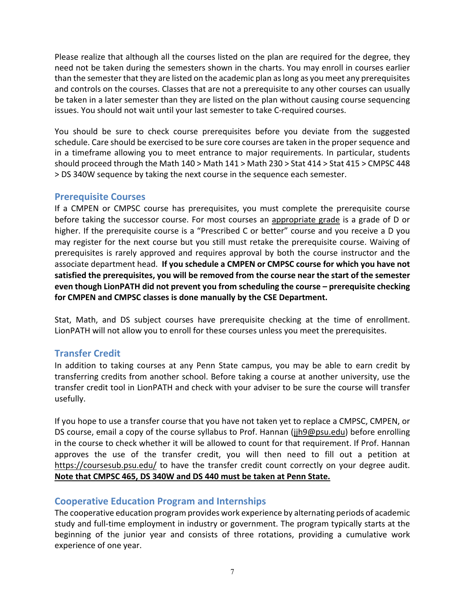Please realize that although all the courses listed on the plan are required for the degree, they need not be taken during the semesters shown in the charts. You may enroll in courses earlier than the semester that they are listed on the academic plan as long as you meet any prerequisites and controls on the courses. Classes that are not a prerequisite to any other courses can usually be taken in a later semester than they are listed on the plan without causing course sequencing issues. You should not wait until your last semester to take C-required courses.

You should be sure to check course prerequisites before you deviate from the suggested schedule. Care should be exercised to be sure core courses are taken in the proper sequence and in a timeframe allowing you to meet entrance to major requirements. In particular, students should proceed through the Math 140 > Math 141 > Math 230 > Stat 414 > Stat 415 > CMPSC 448 > DS 340W sequence by taking the next course in the sequence each semester.

#### <span id="page-6-0"></span>**Prerequisite Courses**

If a CMPEN or CMPSC course has prerequisites, you must complete the prerequisite course before taking the successor course. For most courses an appropriate grade is a grade of D or higher. If the prerequisite course is a "Prescribed C or better" course and you receive a D you may register for the next course but you still must retake the prerequisite course. Waiving of prerequisites is rarely approved and requires approval by both the course instructor and the associate department head. **If you schedule a CMPEN or CMPSC course for which you have not satisfied the prerequisites, you will be removed from the course near the start of the semester even though LionPATH did not prevent you from scheduling the course – prerequisite checking for CMPEN and CMPSC classes is done manually by the CSE Department.**

Stat, Math, and DS subject courses have prerequisite checking at the time of enrollment. LionPATH will not allow you to enroll for these courses unless you meet the prerequisites.

#### <span id="page-6-1"></span>**Transfer Credit**

In addition to taking courses at any Penn State campus, you may be able to earn credit by transferring credits from another school. Before taking a course at another university, use the transfer credit tool in LionPATH and check with your adviser to be sure the course will transfer usefully.

If you hope to use a transfer course that you have not taken yet to replace a CMPSC, CMPEN, or DS course, email a copy of the course syllabus to Prof. Hannan [\(jjh9@psu.edu\)](mailto:jjh9@psu.edu) before enrolling in the course to check whether it will be allowed to count for that requirement. If Prof. Hannan approves the use of the transfer credit, you will then need to fill out a petition at <https://coursesub.psu.edu/>to have the transfer credit count correctly on your degree audit. **Note that CMPSC 465, DS 340W and DS 440 must be taken at Penn State.**

#### <span id="page-6-2"></span>**Cooperative Education Program and Internships**

The cooperative education program provides work experience by alternating periods of academic study and full-time employment in industry or government. The program typically starts at the beginning of the junior year and consists of three rotations, providing a cumulative work experience of one year.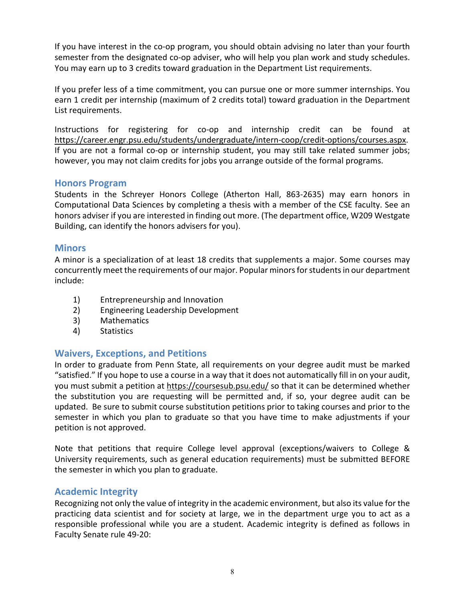If you have interest in the co-op program, you should obtain advising no later than your fourth semester from the designated co-op adviser, who will help you plan work and study schedules. You may earn up to 3 credits toward graduation in the Department List requirements.

If you prefer less of a time commitment, you can pursue one or more summer internships. You earn 1 credit per internship (maximum of 2 credits total) toward graduation in the Department List requirements.

Instructions for registering for co-op and internship credit can be found at [https://career.engr.psu.edu/students/undergraduate/intern-coop/credit-options/courses.aspx.](https://career.engr.psu.edu/students/undergraduate/intern-coop/credit-options/courses.aspx) If you are not a formal co-op or internship student, you may still take related summer jobs; however, you may not claim credits for jobs you arrange outside of the formal programs.

#### <span id="page-7-0"></span>**Honors Program**

Students in the Schreyer Honors College (Atherton Hall, 863-2635) may earn honors in Computational Data Sciences by completing a thesis with a member of the CSE faculty. See an honors adviser if you are interested in finding out more. (The department office, W209 Westgate Building, can identify the honors advisers for you).

#### <span id="page-7-1"></span>**Minors**

A minor is a specialization of at least 18 credits that supplements a major. Some courses may concurrently meet the requirements of our major. Popular minors for students in our department include:

- 1) Entrepreneurship and Innovation
- 2) Engineering Leadership Development
- 3) Mathematics
- 4) Statistics

#### <span id="page-7-2"></span>**Waivers, Exceptions, and Petitions**

In order to graduate from Penn State, all requirements on your degree audit must be marked "satisfied." If you hope to use a course in a way that it does not automatically fill in on your audit, you must submit a petition at <https://coursesub.psu.edu/> so that it can be determined whether the substitution you are requesting will be permitted and, if so, your degree audit can be updated. Be sure to submit course substitution petitions prior to taking courses and prior to the semester in which you plan to graduate so that you have time to make adjustments if your petition is not approved.

Note that petitions that require College level approval (exceptions/waivers to College & University requirements, such as general education requirements) must be submitted BEFORE the semester in which you plan to graduate.

#### <span id="page-7-3"></span>**Academic Integrity**

Recognizing not only the value of integrity in the academic environment, but also its value for the practicing data scientist and for society at large, we in the department urge you to act as a responsible professional while you are a student. Academic integrity is defined as follows in Faculty Senate rule 49-20: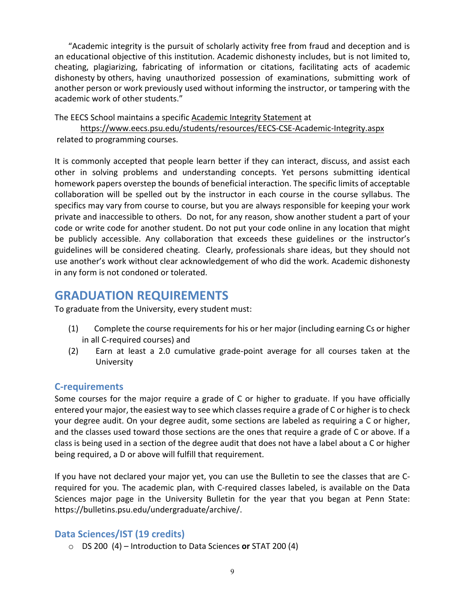"Academic integrity is the pursuit of scholarly activity free from fraud and deception and is an educational objective of this institution. Academic dishonesty includes, but is not limited to, cheating, plagiarizing, fabricating of information or citations, facilitating acts of academic dishonesty by others, having unauthorized possession of examinations, submitting work of another person or work previously used without informing the instructor, or tampering with the academic work of other students."

The EECS School maintains a specific [Academic Integrity Statement](https://www.eecs.psu.edu/students/resources/EECS-CSE-Academic-Integrity.aspx) at

<https://www.eecs.psu.edu/students/resources/EECS-CSE-Academic-Integrity.aspx> related to programming courses.

It is commonly accepted that people learn better if they can interact, discuss, and assist each other in solving problems and understanding concepts. Yet persons submitting identical homework papers overstep the bounds of beneficial interaction. The specific limits of acceptable collaboration will be spelled out by the instructor in each course in the course syllabus. The specifics may vary from course to course, but you are always responsible for keeping your work private and inaccessible to others. Do not, for any reason, show another student a part of your code or write code for another student. Do not put your code online in any location that might be publicly accessible. Any collaboration that exceeds these guidelines or the instructor's guidelines will be considered cheating. Clearly, professionals share ideas, but they should not use another's work without clear acknowledgement of who did the work. Academic dishonesty in any form is not condoned or tolerated.

# <span id="page-8-0"></span>**GRADUATION REQUIREMENTS**

To graduate from the University, every student must:

- (1) Complete the course requirements for his or her major (including earning Cs or higher in all C-required courses) and
- (2) Earn at least a 2.0 cumulative grade-point average for all courses taken at the University

#### <span id="page-8-1"></span>**C-requirements**

Some courses for the major require a grade of C or higher to graduate. If you have officially entered your major, the easiest way to see which classesrequire a grade of C or higher is to check your degree audit. On your degree audit, some sections are labeled as requiring a C or higher, and the classes used toward those sections are the ones that require a grade of C or above. If a class is being used in a section of the degree audit that does not have a label about a C or higher being required, a D or above will fulfill that requirement.

If you have not declared your major yet, you can use the Bulletin to see the classes that are Crequired for you. The academic plan, with C-required classes labeled, is available on the Data Sciences major page in the University Bulletin for the year that you began at Penn State: https://bulletins.psu.edu/undergraduate/archive/.

#### <span id="page-8-2"></span>**Data Sciences/IST (19 credits)**

o DS 200 (4) – Introduction to Data Sciences **or** STAT 200 (4)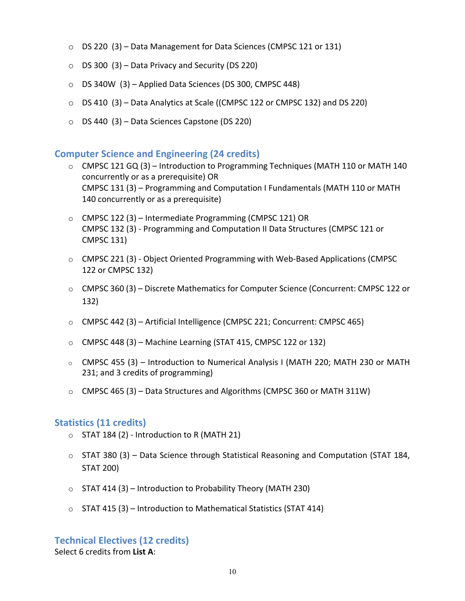- o DS 220 (3) Data Management for Data Sciences (CMPSC 121 or 131)
- $\circ$  DS 300 (3) Data Privacy and Security (DS 220)
- o DS 340W (3) Applied Data Sciences (DS 300, CMPSC 448)
- o DS 410 (3) Data Analytics at Scale ((CMPSC 122 or CMPSC 132) and DS 220)
- o DS 440 (3) Data Sciences Capstone (DS 220)

#### <span id="page-9-0"></span>**Computer Science and Engineering (24 credits)**

- $\circ$  CMPSC 121 GQ (3) Introduction to Programming Techniques (MATH 110 or MATH 140 concurrently or as a prerequisite) OR CMPSC 131 (3) – Programming and Computation I Fundamentals (MATH 110 or MATH 140 concurrently or as a prerequisite)
- o CMPSC 122 (3) Intermediate Programming (CMPSC 121) OR CMPSC 132 (3) - Programming and Computation II Data Structures (CMPSC 121 or CMPSC 131)
- o CMPSC 221 (3) Object Oriented Programming with Web-Based Applications (CMPSC 122 or CMPSC 132)
- o CMPSC 360 (3) Discrete Mathematics for Computer Science (Concurrent: CMPSC 122 or 132)
- $\circ$  CMPSC 442 (3) Artificial Intelligence (CMPSC 221; Concurrent: CMPSC 465)
- o CMPSC 448 (3) Machine Learning (STAT 415, CMPSC 122 or 132)
- $\circ$  CMPSC 455 (3) Introduction to Numerical Analysis I (MATH 220; MATH 230 or MATH 231; and 3 credits of programming)
- $\circ$  CMPSC 465 (3) Data Structures and Algorithms (CMPSC 360 or MATH 311W)

#### <span id="page-9-1"></span>**Statistics (11 credits)**

- $\circ$  STAT 184 (2) Introduction to R (MATH 21)
- $\circ$  STAT 380 (3) Data Science through Statistical Reasoning and Computation (STAT 184, STAT 200)
- $\circ$  STAT 414 (3) Introduction to Probability Theory (MATH 230)
- $\circ$  STAT 415 (3) Introduction to Mathematical Statistics (STAT 414)

#### <span id="page-9-2"></span>**Technical Electives (12 credits)**

Select 6 credits from **List A**: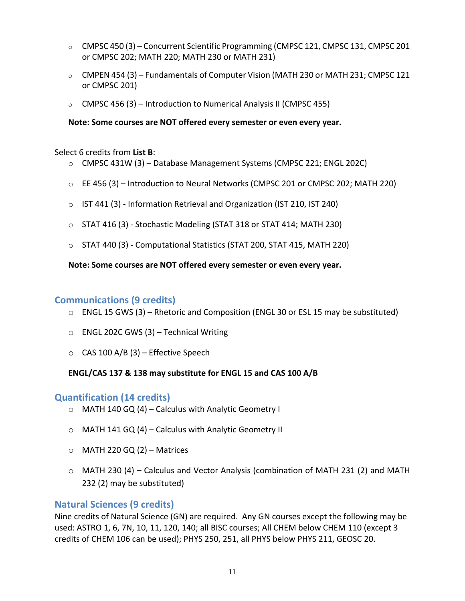- $\circ$  CMPSC 450 (3) Concurrent Scientific Programming (CMPSC 121, CMPSC 131, CMPSC 201 or CMPSC 202; MATH 220; MATH 230 or MATH 231)
- $\circ$  CMPEN 454 (3) Fundamentals of Computer Vision (MATH 230 or MATH 231; CMPSC 121 or CMPSC 201)
- $\circ$  CMPSC 456 (3) Introduction to Numerical Analysis II (CMPSC 455)

**Note: Some courses are NOT offered every semester or even every year.**

#### Select 6 credits from **List B**:

- $\circ$  CMPSC 431W (3) Database Management Systems (CMPSC 221; ENGL 202C)
- $\circ$  EE 456 (3) Introduction to Neural Networks (CMPSC 201 or CMPSC 202; MATH 220)
- o IST 441 (3) Information Retrieval and Organization (IST 210, IST 240)
- $\circ$  STAT 416 (3) Stochastic Modeling (STAT 318 or STAT 414; MATH 230)
- o STAT 440 (3) Computational Statistics (STAT 200, STAT 415, MATH 220)

#### **Note: Some courses are NOT offered every semester or even every year.**

#### <span id="page-10-0"></span>**Communications (9 credits)**

- $\circ$  ENGL 15 GWS (3) Rhetoric and Composition (ENGL 30 or ESL 15 may be substituted)
- $\circ$  ENGL 202C GWS (3) Technical Writing
- $\circ$  CAS 100 A/B (3) Effective Speech

#### **ENGL/CAS 137 & 138 may substitute for ENGL 15 and CAS 100 A/B**

#### <span id="page-10-1"></span>**Quantification (14 credits)**

- o MATH 140 GQ (4) Calculus with Analytic Geometry I
- o MATH 141 GQ (4) Calculus with Analytic Geometry II
- $\circ$  MATH 220 GQ (2) Matrices
- $\circ$  MATH 230 (4) Calculus and Vector Analysis (combination of MATH 231 (2) and MATH 232 (2) may be substituted)

#### <span id="page-10-2"></span>**Natural Sciences (9 credits)**

Nine credits of Natural Science (GN) are required. Any GN courses except the following may be used: ASTRO 1, 6, 7N, 10, 11, 120, 140; all BISC courses; All CHEM below CHEM 110 (except 3 credits of CHEM 106 can be used); PHYS 250, 251, all PHYS below PHYS 211, GEOSC 20.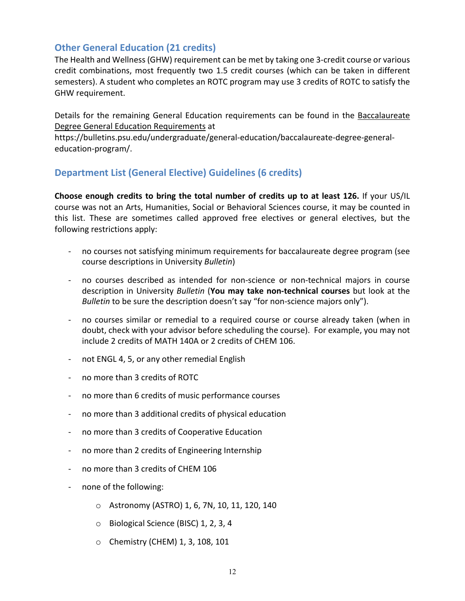#### <span id="page-11-0"></span>**Other General Education (21 credits)**

The Health and Wellness (GHW) requirement can be met by taking one 3-credit course or various credit combinations, most frequently two 1.5 credit courses (which can be taken in different semesters). A student who completes an ROTC program may use 3 credits of ROTC to satisfy the GHW requirement.

Details for the remaining General Education requirements can be found in the [Baccalaureate](https://bulletins.psu.edu/undergraduate/general-education/baccalaureate-degree-general-education-program/) Degree [General Education Requirements](https://bulletins.psu.edu/undergraduate/general-education/baccalaureate-degree-general-education-program/) at

https://bulletins.psu.edu/undergraduate/general-education/baccalaureate-degree-generaleducation-program/.

#### <span id="page-11-1"></span>**Department List (General Elective) Guidelines (6 credits)**

**Choose enough credits to bring the total number of credits up to at least 126.** If your US/IL course was not an Arts, Humanities, Social or Behavioral Sciences course, it may be counted in this list. These are sometimes called approved free electives or general electives, but the following restrictions apply:

- no courses not satisfying minimum requirements for baccalaureate degree program (see course descriptions in University *Bulletin*)
- no courses described as intended for non-science or non-technical majors in course description in University *Bulletin* (**You may take non-technical courses** but look at the *Bulletin* to be sure the description doesn't say "for non-science majors only").
- no courses similar or remedial to a required course or course already taken (when in doubt, check with your advisor before scheduling the course). For example, you may not include 2 credits of MATH 140A or 2 credits of CHEM 106.
- not ENGL 4, 5, or any other remedial English
- no more than 3 credits of ROTC
- no more than 6 credits of music performance courses
- no more than 3 additional credits of physical education
- no more than 3 credits of Cooperative Education
- no more than 2 credits of Engineering Internship
- no more than 3 credits of CHEM 106
- none of the following:
	- o Astronomy (ASTRO) 1, 6, 7N, 10, 11, 120, 140
	- o Biological Science (BISC) 1, 2, 3, 4
	- o Chemistry (CHEM) 1, 3, 108, 101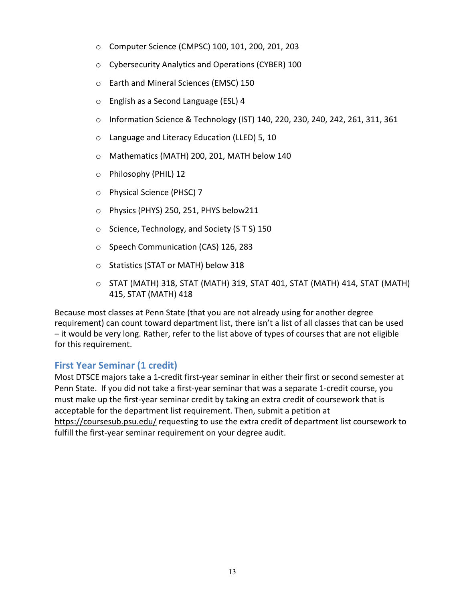- o Computer Science (CMPSC) 100, 101, 200, 201, 203
- o Cybersecurity Analytics and Operations (CYBER) 100
- o Earth and Mineral Sciences (EMSC) 150
- o English as a Second Language (ESL) 4
- o Information Science & Technology (IST) 140, 220, 230, 240, 242, 261, 311, 361
- o Language and Literacy Education (LLED) 5, 10
- o Mathematics (MATH) 200, 201, MATH below 140
- o Philosophy (PHIL) 12
- o Physical Science (PHSC) 7
- o Physics (PHYS) 250, 251, PHYS below211
- o Science, Technology, and Society (S T S) 150
- o Speech Communication (CAS) 126, 283
- o Statistics (STAT or MATH) below 318
- o STAT (MATH) 318, STAT (MATH) 319, STAT 401, STAT (MATH) 414, STAT (MATH) 415, STAT (MATH) 418

Because most classes at Penn State (that you are not already using for another degree requirement) can count toward department list, there isn't a list of all classes that can be used – it would be very long. Rather, refer to the list above of types of courses that are not eligible for this requirement.

#### <span id="page-12-0"></span>**First Year Seminar (1 credit)**

Most DTSCE majors take a 1-credit first-year seminar in either their first or second semester at Penn State. If you did not take a first-year seminar that was a separate 1-credit course, you must make up the first-year seminar credit by taking an extra credit of coursework that is acceptable for the department list requirement. Then, submit a petition at [https://coursesub.psu.edu/ r](https://coursesub.psu.edu/)equesting to use the extra credit of department list coursework to fulfill the first-year seminar requirement on your degree audit.